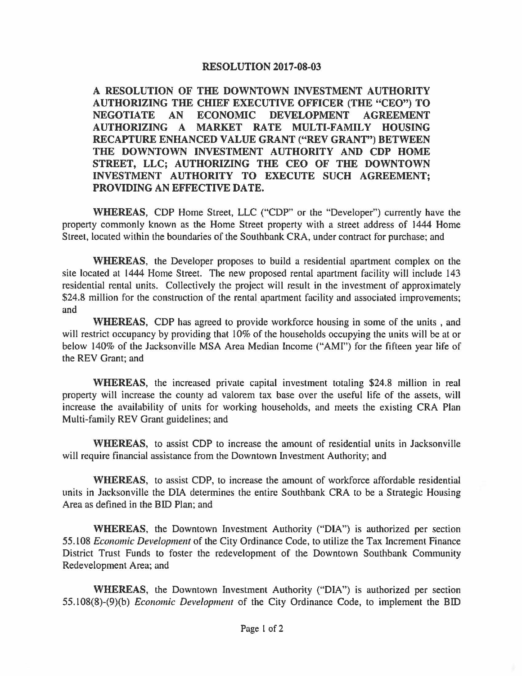## **RESOLUTION 2017-08-03**

**A RESOLUTION OF THE DOWNTOWN INVESTMENT AUTHORITY AUTHORIZING THE CHIEF EXECUTIVE OFFICER (THE "CEO") TO NEGOTIATE AN ECONOMIC DEVELOPMENT AGREEMENT AUTHORIZING A MARKET RATE MULTI-FAMILY HOUSING RECAPTURE ENHANCED VALUE GRANT ("REV GRANT") BETWEEN THE DOWNTOWN INVESTMENT AUTHORITY AND CDP HOME STREET, LLC; AUTHORIZING THE CEO OF THE DOWNTOWN INVESTMENT AUTHORITY TO EXECUTE SUCH AGREEMENT; PROVIDING AN EFFECTIVE DATE.** 

**WHEREAS,** CDP Home Street, LLC ("CDP" or the "Developer") currently have the property commonly known as the Home Street property with a street address of 1444 Home Street, located within the boundaries of the Southbank CRA, under contract for purchase; and

**WHEREAS,** the Developer proposes to build a residential apartment complex on the site located at 1444 Home Street. The new proposed rental apartment facility will include 143 residential rental units. Collectively the project will result in the investment of approximately \$24.8 million for the construction of the rental apartment facility and associated improvements; and

**WHEREAS,** CDP has agreed to provide workforce housing in some of the units , and will restrict occupancy by providing that 10% of the households occupying the units will be at or below 140% of the Jacksonville MSA Area Median Income ("AMI") for the fifteen year life of the REV Grant; and

**WHEREAS,** the increased private capital investment totaling \$24.8 million in real property will increase the county ad valorem tax base over the useful life of the assets, will increase the availability of units for working households, and meets the existing CRA Plan Multi-family REV Grant guidelines; and

**WHEREAS,** to assist CDP to increase the amount of residential units in Jacksonville will require financial assistance from the Downtown Investment Authority; and

**WHEREAS,** to assist CDP, to increase the amount of workforce affordable residential units in Jacksonville the DIA determines the entire Southbank CRA to be a Strategic Housing Area as defined in the BID Plan; and

**WHEREAS,** the Downtown Investment Authority ("DIA") is authorized per section 55.108 *Economic Development* of the City Ordinance Code, to utilize the Tax Increment Finance District Trust Funds to foster the redevelopment of the Downtown Southbank Community Redevelopment Area; and

**WHEREAS,** the Downtown Investment Authority ("DIA") is authorized per section 55.108(8)-(9)(b) *Economic Development* of the City Ordinance Code, to implement the BID